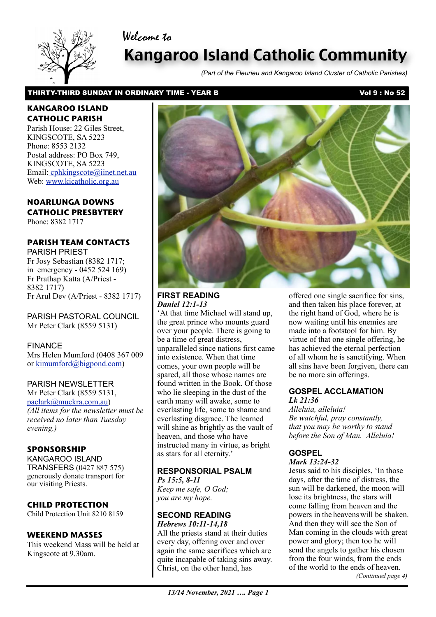# Welcome to



# Kangaroo Island Catholic Community

*(Part of the Fleurieu and Kangaroo Island Cluster of Catholic Parishes)*

## THIRTY-THIRD SUNDAY IN ORDINARY TIME - YEAR B Vol 9 : No 52

# **KANGAROO ISLAND CATHOLIC PARISH**

Parish House: 22 Giles Street, KINGSCOTE, SA 5223 Phone: 8553 2132 Postal address: PO Box 749, KINGSCOTE, SA 5223 Email[: cphkingscote@iinet.net.au](mailto:cphkingscote@iinet.net.au) Web: [www.kicatholic.org.au](http://www.kicatholic.org.au)

# **NOARLUNGA DOWNS CATHOLIC PRESBYTERY**

Phone: 8382 1717

# **PARISH TEAM CONTACTS**

PARISH PRIEST Fr Josy Sebastian (8382 1717; in emergency - 0452 524 169) Fr Prathap Katta (A/Priest - 8382 1717) Fr Arul Dev (A/Priest - 8382 1717)

PARISH PASTORAL COUNCIL Mr Peter Clark (8559 5131)

FINANCE Mrs Helen Mumford (0408 367 009 or [kimumford@bigpond.com\)](mailto:kimumford@bigpond.com)

# PARISH NEWSLETTER

Mr Peter Clark (8559 5131, [paclark@muckra.com.au\)](mailto:paclark@muckra.com.au) *(All items for the newsletter must be received no later than Tuesday evening.)*

# **SPONSORSHIP**

KANGAROO ISLAND TRANSFERS (0427 887 575) generously donate transport for our visiting Priests.

# **CHILD PROTECTION**

Child Protection Unit 8210 8159

#### **WEEKEND MASSES**

This weekend Mass will be held at Kingscote at 9.30am.



#### **FIRST READING** *Daniel 12:1-13*

'At that time Michael will stand up, the great prince who mounts guard over your people. There is going to be a time of great distress, unparalleled since nations first came into existence. When that time comes, your own people will be spared, all those whose names are found written in the Book. Of those who lie sleeping in the dust of the earth many will awake, some to everlasting life, some to shame and everlasting disgrace. The learned will shine as brightly as the vault of heaven, and those who have instructed many in virtue, as bright as stars for all eternity.'

#### **RESPONSORIAL PSALM** *Ps 15:5, 8-11*

*Keep me safe, O God; you are my hope.*

#### **SECOND READING** *Hebrews 10:11-14,18*

All the priests stand at their duties every day, offering over and over again the same sacrifices which are quite incapable of taking sins away. Christ, on the other hand, has

offered one single sacrifice for sins, and then taken his place forever, at the right hand of God, where he is now waiting until his enemies are made into a footstool for him. By virtue of that one single offering, he has achieved the eternal perfection of all whom he is sanctifying. When all sins have been forgiven, there can be no more sin offerings.

## **GOSPEL ACCLAMATION** *Lk 21:36*

*Alleluia, alleluia! Be watchful, pray constantly, that you may be worthy to stand before the Son of Man. Alleluia!*

# **GOSPEL**

*Mark 13:24-32*

Jesus said to his disciples, 'In those days, after the time of distress, the sun will be darkened, the moon will lose its brightness, the stars will come falling from heaven and the powers in the heavens will be shaken. And then they will see the Son of Man coming in the clouds with great power and glory; then too he will send the angels to gather his chosen from the four winds, from the ends of the world to the ends of heaven. *(Continued page 4)*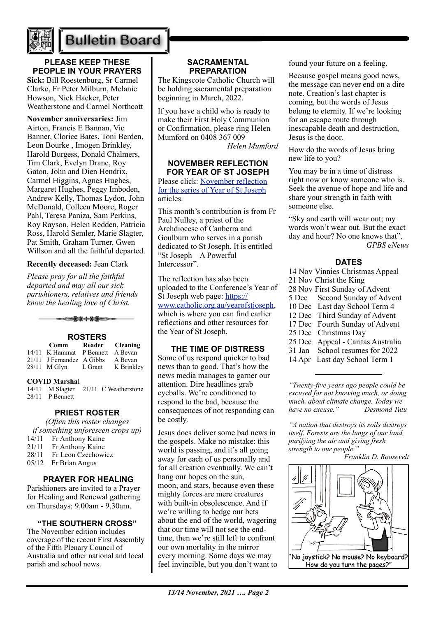

# **Bulletin Board**

# **PLEASE KEEP THESE PEOPLE IN YOUR PRAYERS**

**Sick:** Bill Roestenburg, Sr Carmel Clarke, Fr Peter Milburn, Melanie Howson, Nick Hacker, Peter Weatherstone and Carmel Northcott

**November anniversaries:** Jim Airton, Francis E Bannan, Vic Banner, Clorice Bates, Toni Berden, Leon Bourke , Imogen Brinkley, Harold Burgess, Donald Chalmers, Tim Clark, Evelyn Drane, Roy Gaton, John and Dien Hendrix, Carmel Higgins, Agnes Hughes, Margaret Hughes, Peggy Imboden, Andrew Kelly, Thomas Lydon, John McDonald, Colleen Moore, Roger Pahl, Teresa Paniza, Sam Perkins, Roy Rayson, Helen Redden, Patricia Ross, Harold Semler, Marie Slagter, Pat Smith, Graham Turner, Gwen Willson and all the faithful departed.

## **Recently deceased:** Jean Clark

*Please pray for all the faithful departed and may all our sick parishioners, relatives and friends know the healing love of Christ.*



## **ROSTERS Comm Reader Cleaning**

| Comm                             | Reader Cleaning |            |
|----------------------------------|-----------------|------------|
| 14/11 K Hammat P Bennett A Bevan |                 |            |
| 21/11 J Fernandez A Gibbs        |                 | A Bevan    |
| 28/11 M Glyn                     | L Grant         | K Brinkley |
|                                  |                 |            |

#### **COVID Marsha**l

14/11 M Slagter 21/11 C Weatherstone 28/11 P Bennett

# **PRIEST ROSTER**

*(Often this roster changes if something unforeseen crops up)* 14/11 Fr Anthony Kaine 21/11 Fr Anthony Kaine 28/11 Fr Leon Czechowicz 05/12 Fr Brian Angus

# **PRAYER FOR HEALING**

Parishioners are invited to a Prayer for Healing and Renewal gathering on Thursdays: 9.00am - 9.30am.

#### **"THE SOUTHERN CROSS"**

The November edition includes coverage of the recent First Assembly of the Fifth Plenary Council of Australia and other national and local parish and school news.

## **SACRAMENTAL PREPARATION**

The Kingscote Catholic Church will be holding sacramental preparation beginning in March, 2022.

If you have a child who is ready to make their First Holy Communion or Confirmation, please ring Helen Mumford on 0408 367 009

*Helen Mumford*

## **NOVEMBER REFLECTION FOR YEAR OF ST JOSEPH**

Please click: [November reflection](https://adelaide.catholic.org.au/__files/f/86531/6.Year%20of%20St%20Joseph%20Reflection%20November%202021.pdf)  [for the series of Year of St Joseph](https://adelaide.catholic.org.au/__files/f/86531/6.Year%20of%20St%20Joseph%20Reflection%20November%202021.pdf) articles.

This month's contribution is from Fr Paul Nulley, a priest of the Archdiocese of Canberra and Goulburn who serves in a parish dedicated to St Joseph. It is entitled "St Joseph – A Powerful Intercessor".

The reflection has also been uploaded to the Conference's Year of St Joseph web page: [https://](https://aus01.safelinks.protection.outlook.com/?url=https%3A%2F%2Fwww.catholic.org.au%2Fyearofstjoseph&data=04%7C01%7Cjbradshaw%40adelaide.catholic.org.au%7Cc5f6534a58f54f85330008d99ce90456%7Cfe51d108d61d407cbcaaaab5af82a7ac%7C1%7C0%7C637713346887683127%7CUnknown%7CTWFpbGZsb3d8eyJWIjoiMC4wLjAwMDAiLCJQIjoiV2luMzIiLCJBTiI6Ik1haWwiLCJXVCI6Mn0%3D%7C1000&sdata=qP2kols2rBZO5x4STCO08qd7xeNPQkbz0COSGMLC7tQ%3D&reserved=0) [www.catholic.org.au/yearofstjoseph,](https://aus01.safelinks.protection.outlook.com/?url=https%3A%2F%2Fwww.catholic.org.au%2Fyearofstjoseph&data=04%7C01%7Cjbradshaw%40adelaide.catholic.org.au%7Cc5f6534a58f54f85330008d99ce90456%7Cfe51d108d61d407cbcaaaab5af82a7ac%7C1%7C0%7C637713346887683127%7CUnknown%7CTWFpbGZsb3d8eyJWIjoiMC4wLjAwMDAiLCJQIjoiV2luMzIiLCJBTiI6Ik1haWwiLCJXVCI6Mn0%3D%7C1000&sdata=qP2kols2rBZO5x4STCO08qd7xeNPQkbz0COSGMLC7tQ%3D&reserved=0) which is where you can find earlier reflections and other resources for the Year of St Joseph.

# **THE TIME OF DISTRESS**

Some of us respond quicker to bad news than to good. That's how the news media manages to garner our attention. Dire headlines grab eyeballs. We're conditioned to respond to the bad, because the consequences of not responding can be costly.

Jesus does deliver some bad news in the gospels. Make no mistake: this world is passing, and it's all going away for each of us personally and for all creation eventually. We can't hang our hopes on the sun, moon, and stars, because even these mighty forces are mere creatures with built-in obsolescence. And if we're willing to hedge our bets about the end of the world, wagering that our time will not see the endtime, then we're still left to confront our own mortality in the mirror every morning. Some days we may feel invincible, but you don't want to found your future on a feeling.

Because gospel means good news, the message can never end on a dire note. Creation's last chapter is coming, but the words of Jesus belong to eternity. If we're looking for an escape route through inescapable death and destruction, Jesus is the door.

How do the words of Jesus bring new life to you?

You may be in a time of distress right now or know someone who is. Seek the avenue of hope and life and share your strength in faith with someone else.

"Sky and earth will wear out; my words won't wear out. But the exact day and hour? No one knows that". *GPBS eNews*

# **DATES**

- 14 Nov Vinnies Christmas Appeal
- 21 Nov Christ the King
- 28 Nov First Sunday of Advent
- 5 Dec Second Sunday of Advent
- 10 Dec Last day School Term 4
- 12 Dec Third Sunday of Advent
- 17 Dec Fourth Sunday of Advent
- 25 Dec Christmas Day
- 25 Dec Appeal Caritas Australia
- 31 Jan School resumes for 2022
- 14 Apr Last day School Term 1

*"Twenty-five years ago people could be excused for not knowing much, or doing much, about climate change. Today we have no excuse." Desmond Tutu*

*"A nation that destroys its soils destroys itself. Forests are the lungs of our land, purifying the air and giving fresh strength to our people."*

*Franklin D. Roosevelt*

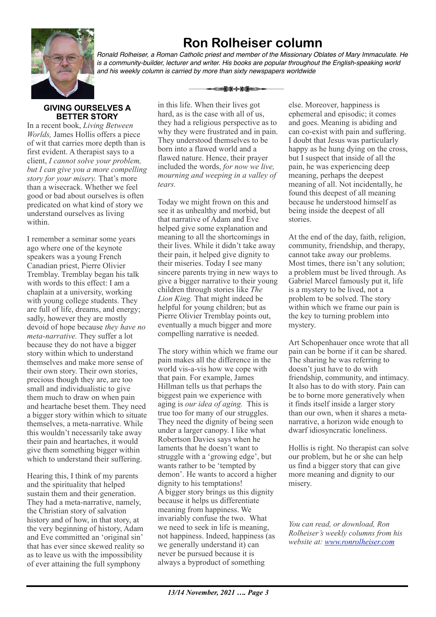

# **Ron Rolheiser column**

*Ronald Rolheiser, a Roman Catholic priest and member of the Missionary Oblates of Mary Immaculate. He is a community-builder, lecturer and writer. His books are popular throughout the English-speaking world and his weekly column is carried by more than sixty newspapers worldwide*

ఆ<del>≵</del>⊁⊹⊁≸⇔

# **GIVING OURSELVES A BETTER STORY**

In a recent book, *Living Between Worlds,* James Hollis offers a piece of wit that carries more depth than is first evident. A therapist says to a client, *I cannot solve your problem, but I can give you a more compelling story for your misery.* That's more than a wisecrack. Whether we feel good or bad about ourselves is often predicated on what kind of story we understand ourselves as living within.

I remember a seminar some years ago where one of the keynote speakers was a young French Canadian priest, Pierre Olivier Tremblay. Tremblay began his talk with words to this effect: I am a chaplain at a university, working with young college students. They are full of life, dreams, and energy; sadly, however they are mostly devoid of hope because *they have no meta-narrative.* They suffer a lot because they do not have a bigger story within which to understand themselves and make more sense of their own story. Their own stories, precious though they are, are too small and individualistic to give them much to draw on when pain and heartache beset them. They need a bigger story within which to situate themselves, a meta-narrative. While this wouldn't necessarily take away their pain and heartaches, it would give them something bigger within which to understand their suffering.

Hearing this, I think of my parents and the spirituality that helped sustain them and their generation. They had a meta-narrative, namely, the Christian story of salvation history and of how, in that story, at the very beginning of history, Adam and Eve committed an 'original sin' that has ever since skewed reality so as to leave us with the impossibility of ever attaining the full symphony

in this life. When their lives got hard, as is the case with all of us, they had a religious perspective as to why they were frustrated and in pain. They understood themselves to be born into a flawed world and a flawed nature. Hence, their prayer included the words, *for now we live, mourning and weeping in a valley of tears.*

Today we might frown on this and see it as unhealthy and morbid, but that narrative of Adam and Eve helped give some explanation and meaning to all the shortcomings in their lives. While it didn't take away their pain, it helped give dignity to their miseries. Today I see many sincere parents trying in new ways to give a bigger narrative to their young children through stories like *The Lion King.* That might indeed be helpful for young children; but as Pierre Olivier Tremblay points out, eventually a much bigger and more compelling narrative is needed.

The story within which we frame our pain makes all the difference in the world vis-a-vis how we cope with that pain. For example, James Hillman tells us that perhaps the biggest pain we experience with aging is *our idea of aging.* This is true too for many of our struggles. They need the dignity of being seen under a larger canopy. I like what Robertson Davies says when he laments that he doesn't want to struggle with a 'growing edge', but wants rather to be 'tempted by demon'. He wants to accord a higher dignity to his temptations! A bigger story brings us this dignity because it helps us differentiate meaning from happiness. We invariably confuse the two. What we need to seek in life is meaning, not happiness. Indeed, happiness (as we generally understand it) can never be pursued because it is always a byproduct of something

else. Moreover, happiness is ephemeral and episodic; it comes and goes. Meaning is abiding and can co-exist with pain and suffering. I doubt that Jesus was particularly happy as he hung dying on the cross, but I suspect that inside of all the pain, he was experiencing deep meaning, perhaps the deepest meaning of all. Not incidentally, he found this deepest of all meaning because he understood himself as being inside the deepest of all stories.

At the end of the day, faith, religion, community, friendship, and therapy, cannot take away our problems. Most times, there isn't any solution; a problem must be lived through. As Gabriel Marcel famously put it, life is a mystery to be lived, not a problem to be solved. The story within which we frame our pain is the key to turning problem into mystery.

Art Schopenhauer once wrote that all pain can be borne if it can be shared. The sharing he was referring to doesn't just have to do with friendship, community, and intimacy. It also has to do with story. Pain can be to borne more generatively when it finds itself inside a larger story than our own, when it shares a metanarrative, a horizon wide enough to dwarf idiosyncratic loneliness.

Hollis is right. No therapist can solve our problem, but he or she can help us find a bigger story that can give more meaning and dignity to our misery.

*You can read, or download, Ron Rolheiser's weekly columns from his website at: [www.ronrolheiser.com](http://www.ronrolheiser.com)*